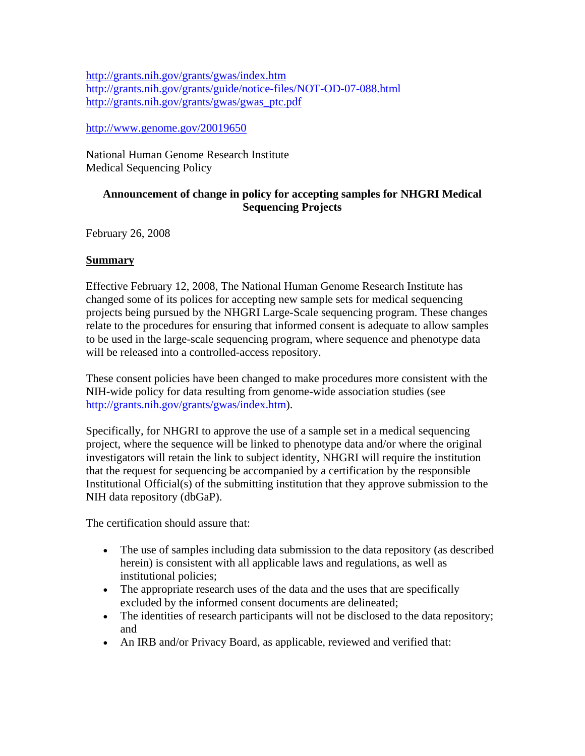<http://grants.nih.gov/grants/gwas/index.htm> <http://grants.nih.gov/grants/guide/notice-files/NOT-OD-07-088.html> [http://grants.nih.gov/grants/gwas/gwas\\_ptc.pdf](http://grants.nih.gov/grants/gwas/gwas_ptc.pdf)

# <http://www.genome.gov/20019650>

National Human Genome Research Institute Medical Sequencing Policy

# **Announcement of change in policy for accepting samples for NHGRI Medical Sequencing Projects**

February 26, 2008

# **Summary**

Effective February 12, 2008, The National Human Genome Research Institute has changed some of its polices for accepting new sample sets for medical sequencing projects being pursued by the NHGRI Large-Scale sequencing program. These changes relate to the procedures for ensuring that informed consent is adequate to allow samples to be used in the large-scale sequencing program, where sequence and phenotype data will be released into a controlled-access repository.

These consent policies have been changed to make procedures more consistent with the NIH-wide policy for data resulting from genome-wide association studies (see [http://grants.nih.gov/grants/gwas/index.htm\)](http://grants.nih.gov/grants/gwas/index.htm).

Specifically, for NHGRI to approve the use of a sample set in a medical sequencing project, where the sequence will be linked to phenotype data and/or where the original investigators will retain the link to subject identity, NHGRI will require the institution that the request for sequencing be accompanied by a certification by the responsible Institutional Official(s) of the submitting institution that they approve submission to the NIH data repository (dbGaP).

The certification should assure that:

- The use of samples including data submission to the data repository (as described herein) is consistent with all applicable laws and regulations, as well as institutional policies;
- The appropriate research uses of the data and the uses that are specifically excluded by the informed consent documents are delineated;
- The identities of research participants will not be disclosed to the data repository; and
- An IRB and/or Privacy Board, as applicable, reviewed and verified that: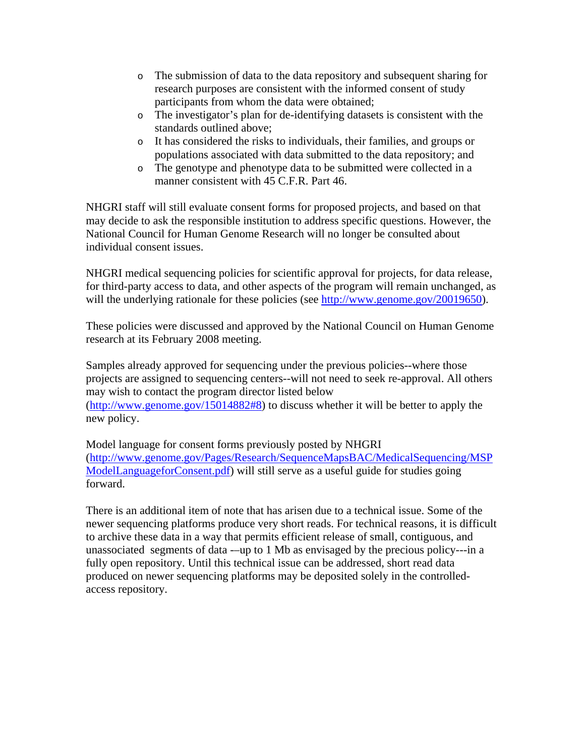- o The submission of data to the data repository and subsequent sharing for research purposes are consistent with the informed consent of study participants from whom the data were obtained;
- o The investigator's plan for de-identifying datasets is consistent with the standards outlined above;
- o It has considered the risks to individuals, their families, and groups or populations associated with data submitted to the data repository; and
- o The genotype and phenotype data to be submitted were collected in a manner consistent with 45 C.F.R. Part 46.

NHGRI staff will still evaluate consent forms for proposed projects, and based on that may decide to ask the responsible institution to address specific questions. However, the National Council for Human Genome Research will no longer be consulted about individual consent issues.

NHGRI medical sequencing policies for scientific approval for projects, for data release, for third-party access to data, and other aspects of the program will remain unchanged, as will the underlying rationale for these policies (see [http://www.genome.gov/20019650\)](http://www.genome.gov/20019650).

These policies were discussed and approved by the National Council on Human Genome research at its February 2008 meeting.

Samples already approved for sequencing under the previous policies--where those projects are assigned to sequencing centers--will not need to seek re-approval. All others may wish to contact the program director listed below (<http://www.genome.gov/15014882#8>) to discuss whether it will be better to apply the new policy.

Model language for consent forms previously posted by NHGRI ([http://www.genome.gov/Pages/Research/SequenceMapsBAC/MedicalSequencing/MSP](http://www.genome.gov/Pages/Research/SequenceMapsBAC/MedicalSequencing/MSPModelLanguageforConsent.pdf) [ModelLanguageforConsent.pdf\)](http://www.genome.gov/Pages/Research/SequenceMapsBAC/MedicalSequencing/MSPModelLanguageforConsent.pdf) will still serve as a useful guide for studies going forward.

There is an additional item of note that has arisen due to a technical issue. Some of the newer sequencing platforms produce very short reads. For technical reasons, it is difficult to archive these data in a way that permits efficient release of small, contiguous, and unassociated segments of data -–up to 1 Mb as envisaged by the precious policy---in a fully open repository. Until this technical issue can be addressed, short read data produced on newer sequencing platforms may be deposited solely in the controlledaccess repository.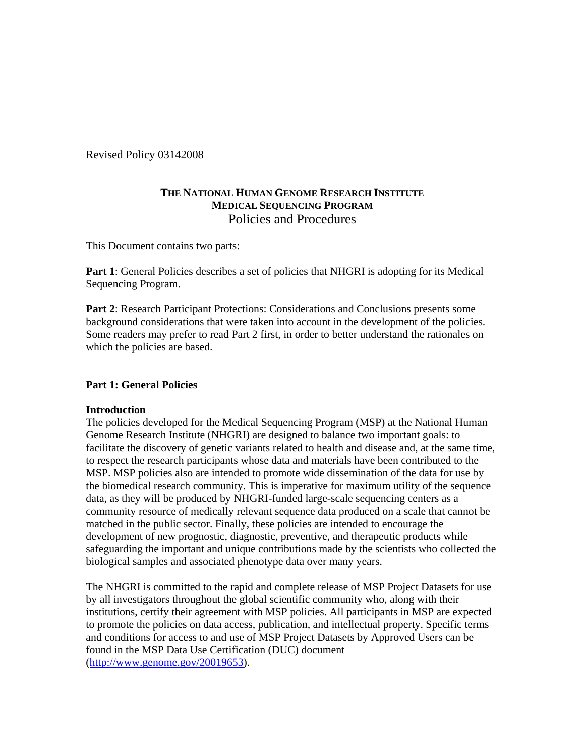Revised Policy 03142008

# **THE NATIONAL HUMAN GENOME RESEARCH INSTITUTE MEDICAL SEQUENCING PROGRAM**  Policies and Procedures

This Document contains two parts:

**Part 1**: General Policies describes a set of policies that NHGRI is adopting for its Medical Sequencing Program.

**Part 2**: Research Participant Protections: Considerations and Conclusions presents some background considerations that were taken into account in the development of the policies. Some readers may prefer to read Part 2 first, in order to better understand the rationales on which the policies are based.

# **Part 1: General Policies**

## **Introduction**

The policies developed for the Medical Sequencing Program (MSP) at the National Human Genome Research Institute (NHGRI) are designed to balance two important goals: to facilitate the discovery of genetic variants related to health and disease and, at the same time, to respect the research participants whose data and materials have been contributed to the MSP. MSP policies also are intended to promote wide dissemination of the data for use by the biomedical research community. This is imperative for maximum utility of the sequence data, as they will be produced by NHGRI-funded large-scale sequencing centers as a community resource of medically relevant sequence data produced on a scale that cannot be matched in the public sector. Finally, these policies are intended to encourage the development of new prognostic, diagnostic, preventive, and therapeutic products while safeguarding the important and unique contributions made by the scientists who collected the biological samples and associated phenotype data over many years.

The NHGRI is committed to the rapid and complete release of MSP Project Datasets for use by all investigators throughout the global scientific community who, along with their institutions, certify their agreement with MSP policies. All participants in MSP are expected to promote the policies on data access, publication, and intellectual property. Specific terms and conditions for access to and use of MSP Project Datasets by Approved Users can be found in the MSP Data Use Certification (DUC) document ([http://www.genome.gov/20019653\)](http://www.genome.gov/20019653).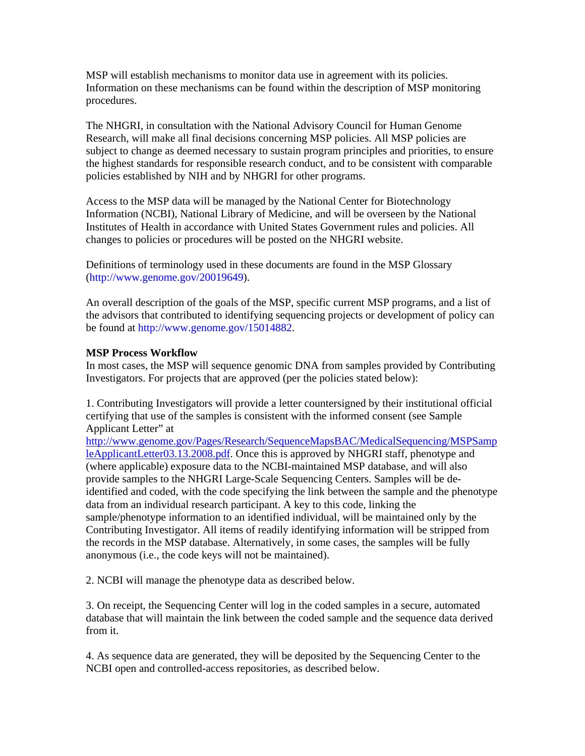MSP will establish mechanisms to monitor data use in agreement with its policies. Information on these mechanisms can be found within the description of MSP monitoring procedures.

The NHGRI, in consultation with the National Advisory Council for Human Genome Research, will make all final decisions concerning MSP policies. All MSP policies are subject to change as deemed necessary to sustain program principles and priorities, to ensure the highest standards for responsible research conduct, and to be consistent with comparable policies established by NIH and by NHGRI for other programs.

Access to the MSP data will be managed by the National Center for Biotechnology Information (NCBI), National Library of Medicine, and will be overseen by the National Institutes of Health in accordance with United States Government rules and policies. All changes to policies or procedures will be posted on the NHGRI website.

Definitions of terminology used in these documents are found in the MSP Glossary (http://www.genome.gov/20019649).

An overall description of the goals of the MSP, specific current MSP programs, and a list of the advisors that contributed to identifying sequencing projects or development of policy can be found at http://www.genome.gov/15014882.

## **MSP Process Workflow**

In most cases, the MSP will sequence genomic DNA from samples provided by Contributing Investigators. For projects that are approved (per the policies stated below):

1. Contributing Investigators will provide a letter countersigned by their institutional official certifying that use of the samples is consistent with the informed consent (see Sample Applicant Letter" at

[http://www.genome.gov/Pages/Research/SequenceMapsBAC/MedicalSequencing/MSPSamp](http://www.genome.gov/Pages/Research/SequenceMapsBAC/MedicalSequencing/MSPSampleApplicantLetter03.13.2008.pdf) [leApplicantLetter03.13.2008.pdf](http://www.genome.gov/Pages/Research/SequenceMapsBAC/MedicalSequencing/MSPSampleApplicantLetter03.13.2008.pdf). Once this is approved by NHGRI staff, phenotype and (where applicable) exposure data to the NCBI-maintained MSP database, and will also provide samples to the NHGRI Large-Scale Sequencing Centers. Samples will be deidentified and coded, with the code specifying the link between the sample and the phenotype data from an individual research participant. A key to this code, linking the sample/phenotype information to an identified individual, will be maintained only by the Contributing Investigator. All items of readily identifying information will be stripped from the records in the MSP database. Alternatively, in some cases, the samples will be fully anonymous (i.e., the code keys will not be maintained).

2. NCBI will manage the phenotype data as described below.

3. On receipt, the Sequencing Center will log in the coded samples in a secure, automated database that will maintain the link between the coded sample and the sequence data derived from it.

4. As sequence data are generated, they will be deposited by the Sequencing Center to the NCBI open and controlled-access repositories, as described below.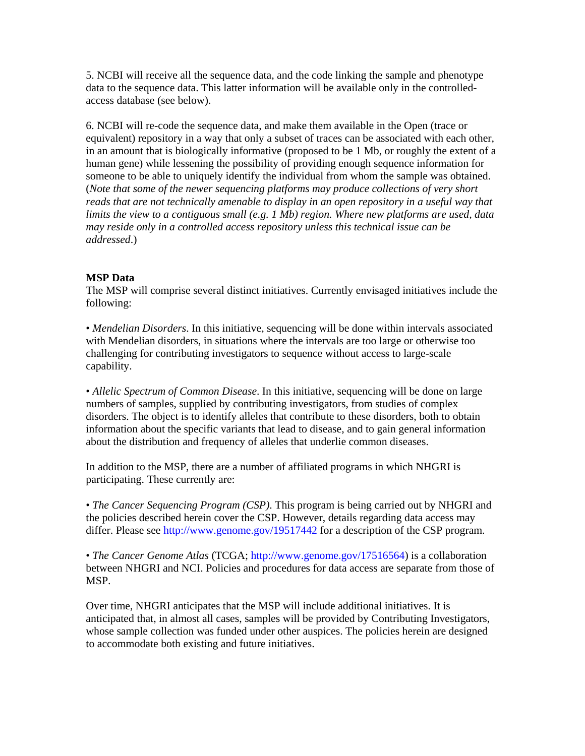5. NCBI will receive all the sequence data, and the code linking the sample and phenotype data to the sequence data. This latter information will be available only in the controlledaccess database (see below).

6. NCBI will re-code the sequence data, and make them available in the Open (trace or equivalent) repository in a way that only a subset of traces can be associated with each other, in an amount that is biologically informative (proposed to be 1 Mb, or roughly the extent of a human gene) while lessening the possibility of providing enough sequence information for someone to be able to uniquely identify the individual from whom the sample was obtained. (*Note that some of the newer sequencing platforms may produce collections of very short reads that are not technically amenable to display in an open repository in a useful way that limits the view to a contiguous small (e.g. 1 Mb) region. Where new platforms are used, data may reside only in a controlled access repository unless this technical issue can be addressed*.)

# **MSP Data**

The MSP will comprise several distinct initiatives. Currently envisaged initiatives include the following:

• *Mendelian Disorders*. In this initiative, sequencing will be done within intervals associated with Mendelian disorders, in situations where the intervals are too large or otherwise too challenging for contributing investigators to sequence without access to large-scale capability.

• *Allelic Spectrum of Common Disease*. In this initiative, sequencing will be done on large numbers of samples, supplied by contributing investigators, from studies of complex disorders. The object is to identify alleles that contribute to these disorders, both to obtain information about the specific variants that lead to disease, and to gain general information about the distribution and frequency of alleles that underlie common diseases.

In addition to the MSP, there are a number of affiliated programs in which NHGRI is participating. These currently are:

• *The Cancer Sequencing Program (CSP)*. This program is being carried out by NHGRI and the policies described herein cover the CSP. However, details regarding data access may differ. Please see http://www.genome.gov/19517442 for a description of the CSP program.

• *The Cancer Genome Atlas* (TCGA; http://www.genome.gov/17516564) is a collaboration between NHGRI and NCI. Policies and procedures for data access are separate from those of MSP.

Over time, NHGRI anticipates that the MSP will include additional initiatives. It is anticipated that, in almost all cases, samples will be provided by Contributing Investigators, whose sample collection was funded under other auspices. The policies herein are designed to accommodate both existing and future initiatives.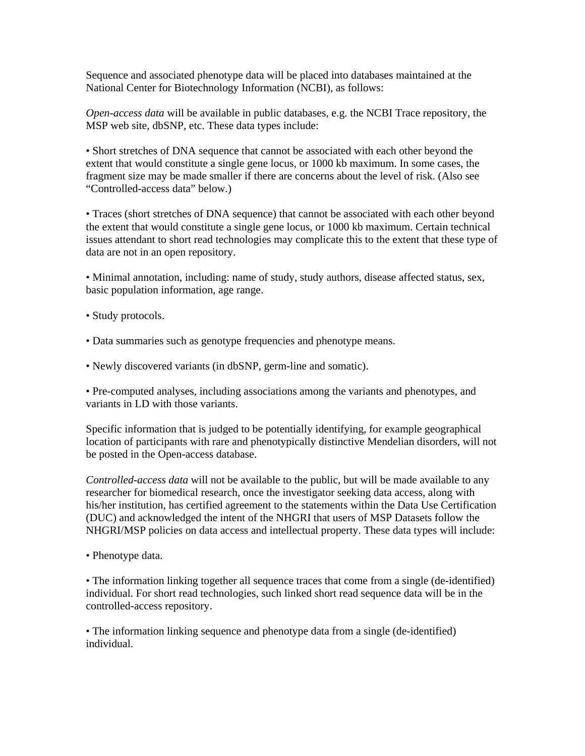Sequence and associated phenotype data will be placed into databases maintained at the National Center for Biotechnology Information (NCBI), as follows:

*Open-access data* will be available in public databases, e.g. the NCBI Trace repository, the MSP web site, dbSNP, etc. These data types include:

• Short stretches of DNA sequence that cannot be associated with each other beyond the extent that would constitute a single gene locus, or 1000 kb maximum. In some cases, the fragment size may be made smaller if there are concerns about the level of risk. (Also see "Controlled-access data" below.)

• Traces (short stretches of DNA sequence) that cannot be associated with each other beyond the extent that would constitute a single gene locus, or 1000 kb maximum. Certain technical issues attendant to short read technologies may complicate this to the extent that these type of data are not in an open repository.

• Minimal annotation, including: name of study, study authors, disease affected status, sex, basic population information, age range.

- Study protocols.
- Data summaries such as genotype frequencies and phenotype means.
- Newly discovered variants (in dbSNP, germ-line and somatic).

• Pre-computed analyses, including associations among the variants and phenotypes, and variants in LD with those variants.

Specific information that is judged to be potentially identifying, for example geographical location of participants with rare and phenotypically distinctive Mendelian disorders, will not be posted in the Open-access database.

*Controlled-access data* will not be available to the public, but will be made available to any researcher for biomedical research, once the investigator seeking data access, along with his/her institution, has certified agreement to the statements within the Data Use Certification (DUC) and acknowledged the intent of the NHGRI that users of MSP Datasets follow the NHGRI/MSP policies on data access and intellectual property. These data types will include:

• Phenotype data.

• The information linking together all sequence traces that come from a single (de-identified) individual. For short read technologies, such linked short read sequence data will be in the controlled-access repository.

• The information linking sequence and phenotype data from a single (de-identified) individual.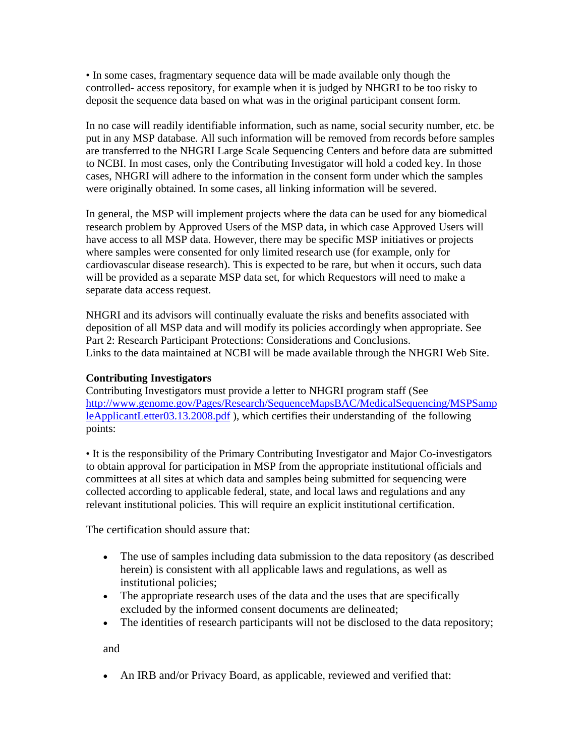• In some cases, fragmentary sequence data will be made available only though the controlled- access repository, for example when it is judged by NHGRI to be too risky to deposit the sequence data based on what was in the original participant consent form.

In no case will readily identifiable information, such as name, social security number, etc. be put in any MSP database. All such information will be removed from records before samples are transferred to the NHGRI Large Scale Sequencing Centers and before data are submitted to NCBI. In most cases, only the Contributing Investigator will hold a coded key. In those cases, NHGRI will adhere to the information in the consent form under which the samples were originally obtained. In some cases, all linking information will be severed.

In general, the MSP will implement projects where the data can be used for any biomedical research problem by Approved Users of the MSP data, in which case Approved Users will have access to all MSP data. However, there may be specific MSP initiatives or projects where samples were consented for only limited research use (for example, only for cardiovascular disease research). This is expected to be rare, but when it occurs, such data will be provided as a separate MSP data set, for which Requestors will need to make a separate data access request.

NHGRI and its advisors will continually evaluate the risks and benefits associated with deposition of all MSP data and will modify its policies accordingly when appropriate. See Part 2: Research Participant Protections: Considerations and Conclusions. Links to the data maintained at NCBI will be made available through the NHGRI Web Site.

# **Contributing Investigators**

Contributing Investigators must provide a letter to NHGRI program staff (See [http://www.genome.gov/Pages/Research/SequenceMapsBAC/MedicalSequencing/MSPSamp](http://www.genome.gov/Pages/Research/SequenceMapsBAC/MedicalSequencing/MSPSampleApplicantLetter03.13.2008.pdf) [leApplicantLetter03.13.2008.pdf](http://www.genome.gov/Pages/Research/SequenceMapsBAC/MedicalSequencing/MSPSampleApplicantLetter03.13.2008.pdf) ), which certifies their understanding of the following points:

• It is the responsibility of the Primary Contributing Investigator and Major Co-investigators to obtain approval for participation in MSP from the appropriate institutional officials and committees at all sites at which data and samples being submitted for sequencing were collected according to applicable federal, state, and local laws and regulations and any relevant institutional policies. This will require an explicit institutional certification.

The certification should assure that:

- The use of samples including data submission to the data repository (as described herein) is consistent with all applicable laws and regulations, as well as institutional policies;
- The appropriate research uses of the data and the uses that are specifically excluded by the informed consent documents are delineated;
- The identities of research participants will not be disclosed to the data repository;

and

• An IRB and/or Privacy Board, as applicable, reviewed and verified that: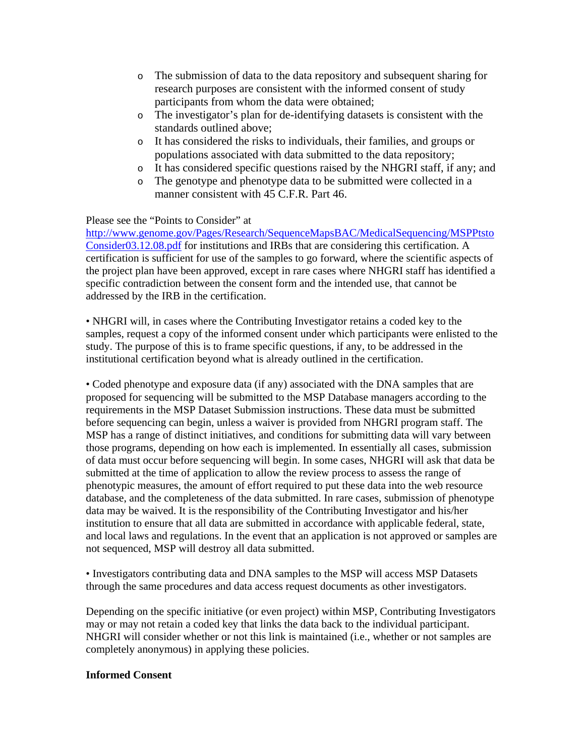- o The submission of data to the data repository and subsequent sharing for research purposes are consistent with the informed consent of study participants from whom the data were obtained;
- o The investigator's plan for de-identifying datasets is consistent with the standards outlined above;
- o It has considered the risks to individuals, their families, and groups or populations associated with data submitted to the data repository;
- o It has considered specific questions raised by the NHGRI staff, if any; and
- o The genotype and phenotype data to be submitted were collected in a manner consistent with 45 C.F.R. Part 46.

# Please see the "Points to Consider" at

[http://www.genome.gov/Pages/Research/SequenceMapsBAC/MedicalSequencing/MSPPtsto](http://www.genome.gov/Pages/Research/SequenceMapsBAC/MedicalSequencing/MSPPtstoConsider03.12.08.pdf) [Consider03.12.08.pdf](http://www.genome.gov/Pages/Research/SequenceMapsBAC/MedicalSequencing/MSPPtstoConsider03.12.08.pdf) for institutions and IRBs that are considering this certification. A certification is sufficient for use of the samples to go forward, where the scientific aspects of the project plan have been approved, except in rare cases where NHGRI staff has identified a specific contradiction between the consent form and the intended use, that cannot be addressed by the IRB in the certification.

• NHGRI will, in cases where the Contributing Investigator retains a coded key to the samples, request a copy of the informed consent under which participants were enlisted to the study. The purpose of this is to frame specific questions, if any, to be addressed in the institutional certification beyond what is already outlined in the certification.

• Coded phenotype and exposure data (if any) associated with the DNA samples that are proposed for sequencing will be submitted to the MSP Database managers according to the requirements in the MSP Dataset Submission instructions. These data must be submitted before sequencing can begin, unless a waiver is provided from NHGRI program staff. The MSP has a range of distinct initiatives, and conditions for submitting data will vary between those programs, depending on how each is implemented. In essentially all cases, submission of data must occur before sequencing will begin. In some cases, NHGRI will ask that data be submitted at the time of application to allow the review process to assess the range of phenotypic measures, the amount of effort required to put these data into the web resource database, and the completeness of the data submitted. In rare cases, submission of phenotype data may be waived. It is the responsibility of the Contributing Investigator and his/her institution to ensure that all data are submitted in accordance with applicable federal, state, and local laws and regulations. In the event that an application is not approved or samples are not sequenced, MSP will destroy all data submitted.

• Investigators contributing data and DNA samples to the MSP will access MSP Datasets through the same procedures and data access request documents as other investigators.

Depending on the specific initiative (or even project) within MSP, Contributing Investigators may or may not retain a coded key that links the data back to the individual participant. NHGRI will consider whether or not this link is maintained (i.e., whether or not samples are completely anonymous) in applying these policies.

# **Informed Consent**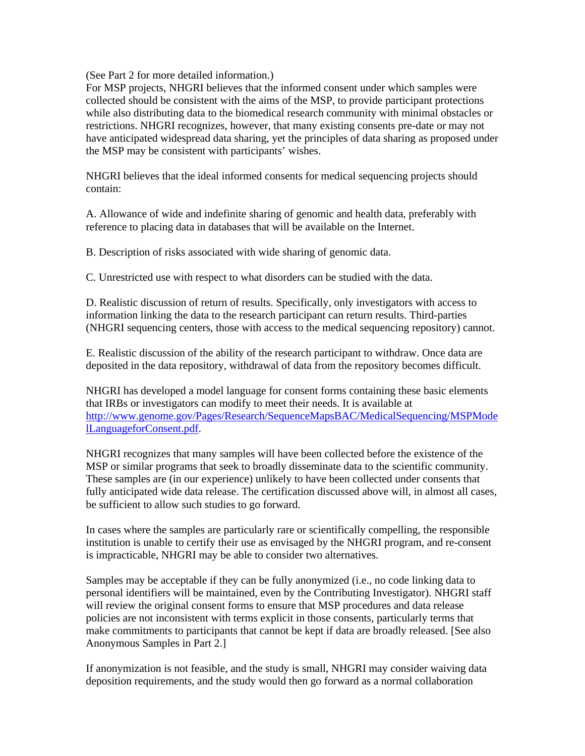(See Part 2 for more detailed information.)

For MSP projects, NHGRI believes that the informed consent under which samples were collected should be consistent with the aims of the MSP, to provide participant protections while also distributing data to the biomedical research community with minimal obstacles or restrictions. NHGRI recognizes, however, that many existing consents pre-date or may not have anticipated widespread data sharing, yet the principles of data sharing as proposed under the MSP may be consistent with participants' wishes.

NHGRI believes that the ideal informed consents for medical sequencing projects should contain:

A. Allowance of wide and indefinite sharing of genomic and health data, preferably with reference to placing data in databases that will be available on the Internet.

B. Description of risks associated with wide sharing of genomic data.

C. Unrestricted use with respect to what disorders can be studied with the data.

D. Realistic discussion of return of results. Specifically, only investigators with access to information linking the data to the research participant can return results. Third-parties (NHGRI sequencing centers, those with access to the medical sequencing repository) cannot.

E. Realistic discussion of the ability of the research participant to withdraw. Once data are deposited in the data repository, withdrawal of data from the repository becomes difficult.

NHGRI has developed a model language for consent forms containing these basic elements that IRBs or investigators can modify to meet their needs. It is available at [http://www.genome.gov/Pages/Research/SequenceMapsBAC/MedicalSequencing/MSPMode](http://www.genome.gov/Pages/Research/SequenceMapsBAC/MedicalSequencing/MSPModelLanguageforConsent.pdf) [lLanguageforConsent.pdf.](http://www.genome.gov/Pages/Research/SequenceMapsBAC/MedicalSequencing/MSPModelLanguageforConsent.pdf)

NHGRI recognizes that many samples will have been collected before the existence of the MSP or similar programs that seek to broadly disseminate data to the scientific community. These samples are (in our experience) unlikely to have been collected under consents that fully anticipated wide data release. The certification discussed above will, in almost all cases, be sufficient to allow such studies to go forward.

In cases where the samples are particularly rare or scientifically compelling, the responsible institution is unable to certify their use as envisaged by the NHGRI program, and re-consent is impracticable, NHGRI may be able to consider two alternatives.

Samples may be acceptable if they can be fully anonymized (i.e., no code linking data to personal identifiers will be maintained, even by the Contributing Investigator). NHGRI staff will review the original consent forms to ensure that MSP procedures and data release policies are not inconsistent with terms explicit in those consents, particularly terms that make commitments to participants that cannot be kept if data are broadly released. [See also Anonymous Samples in Part 2.]

If anonymization is not feasible, and the study is small, NHGRI may consider waiving data deposition requirements, and the study would then go forward as a normal collaboration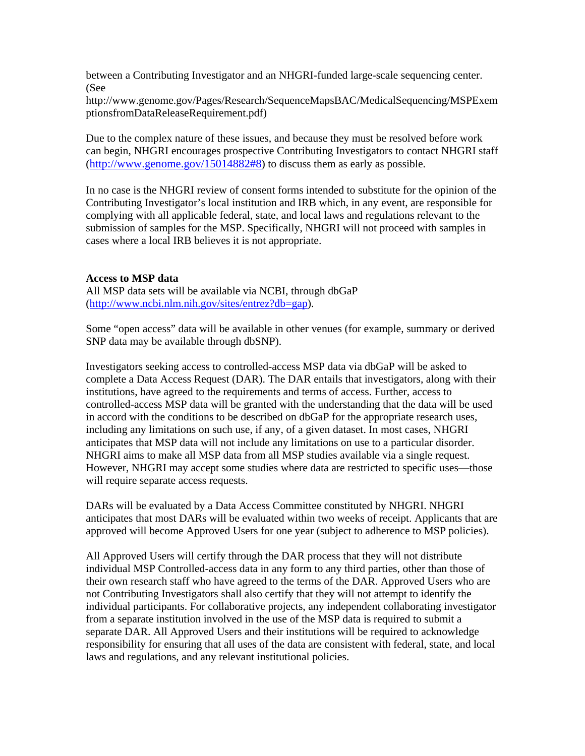between a Contributing Investigator and an NHGRI-funded large-scale sequencing center. (See

http://www.genome.gov/Pages/Research/SequenceMapsBAC/MedicalSequencing/MSPExem ptionsfromDataReleaseRequirement.pdf)

Due to the complex nature of these issues, and because they must be resolved before work can begin, NHGRI encourages prospective Contributing Investigators to contact NHGRI staff ([http://www.genome.gov/15014882#8\)](http://www.genome.gov/15014882#8) to discuss them as early as possible.

In no case is the NHGRI review of consent forms intended to substitute for the opinion of the Contributing Investigator's local institution and IRB which, in any event, are responsible for complying with all applicable federal, state, and local laws and regulations relevant to the submission of samples for the MSP. Specifically, NHGRI will not proceed with samples in cases where a local IRB believes it is not appropriate.

## **Access to MSP data**

All MSP data sets will be available via NCBI, through dbGaP (<http://www.ncbi.nlm.nih.gov/sites/entrez?db=gap>).

Some "open access" data will be available in other venues (for example, summary or derived SNP data may be available through dbSNP).

Investigators seeking access to controlled-access MSP data via dbGaP will be asked to complete a Data Access Request (DAR). The DAR entails that investigators, along with their institutions, have agreed to the requirements and terms of access. Further, access to controlled-access MSP data will be granted with the understanding that the data will be used in accord with the conditions to be described on dbGaP for the appropriate research uses, including any limitations on such use, if any, of a given dataset. In most cases, NHGRI anticipates that MSP data will not include any limitations on use to a particular disorder. NHGRI aims to make all MSP data from all MSP studies available via a single request. However, NHGRI may accept some studies where data are restricted to specific uses—those will require separate access requests.

DARs will be evaluated by a Data Access Committee constituted by NHGRI. NHGRI anticipates that most DARs will be evaluated within two weeks of receipt. Applicants that are approved will become Approved Users for one year (subject to adherence to MSP policies).

All Approved Users will certify through the DAR process that they will not distribute individual MSP Controlled-access data in any form to any third parties, other than those of their own research staff who have agreed to the terms of the DAR. Approved Users who are not Contributing Investigators shall also certify that they will not attempt to identify the individual participants. For collaborative projects, any independent collaborating investigator from a separate institution involved in the use of the MSP data is required to submit a separate DAR. All Approved Users and their institutions will be required to acknowledge responsibility for ensuring that all uses of the data are consistent with federal, state, and local laws and regulations, and any relevant institutional policies.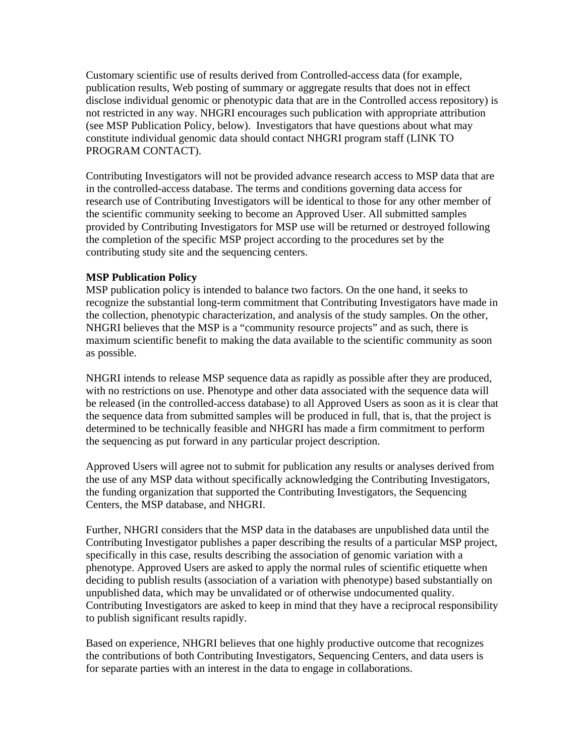Customary scientific use of results derived from Controlled-access data (for example, publication results, Web posting of summary or aggregate results that does not in effect disclose individual genomic or phenotypic data that are in the Controlled access repository) is not restricted in any way. NHGRI encourages such publication with appropriate attribution (see MSP Publication Policy, below). Investigators that have questions about what may constitute individual genomic data should contact NHGRI program staff (LINK TO PROGRAM CONTACT).

Contributing Investigators will not be provided advance research access to MSP data that are in the controlled-access database. The terms and conditions governing data access for research use of Contributing Investigators will be identical to those for any other member of the scientific community seeking to become an Approved User. All submitted samples provided by Contributing Investigators for MSP use will be returned or destroyed following the completion of the specific MSP project according to the procedures set by the contributing study site and the sequencing centers.

## **MSP Publication Policy**

MSP publication policy is intended to balance two factors. On the one hand, it seeks to recognize the substantial long-term commitment that Contributing Investigators have made in the collection, phenotypic characterization, and analysis of the study samples. On the other, NHGRI believes that the MSP is a "community resource projects" and as such, there is maximum scientific benefit to making the data available to the scientific community as soon as possible.

NHGRI intends to release MSP sequence data as rapidly as possible after they are produced, with no restrictions on use. Phenotype and other data associated with the sequence data will be released (in the controlled-access database) to all Approved Users as soon as it is clear that the sequence data from submitted samples will be produced in full, that is, that the project is determined to be technically feasible and NHGRI has made a firm commitment to perform the sequencing as put forward in any particular project description.

Approved Users will agree not to submit for publication any results or analyses derived from the use of any MSP data without specifically acknowledging the Contributing Investigators, the funding organization that supported the Contributing Investigators, the Sequencing Centers, the MSP database, and NHGRI.

Further, NHGRI considers that the MSP data in the databases are unpublished data until the Contributing Investigator publishes a paper describing the results of a particular MSP project, specifically in this case, results describing the association of genomic variation with a phenotype. Approved Users are asked to apply the normal rules of scientific etiquette when deciding to publish results (association of a variation with phenotype) based substantially on unpublished data, which may be unvalidated or of otherwise undocumented quality. Contributing Investigators are asked to keep in mind that they have a reciprocal responsibility to publish significant results rapidly.

Based on experience, NHGRI believes that one highly productive outcome that recognizes the contributions of both Contributing Investigators, Sequencing Centers, and data users is for separate parties with an interest in the data to engage in collaborations.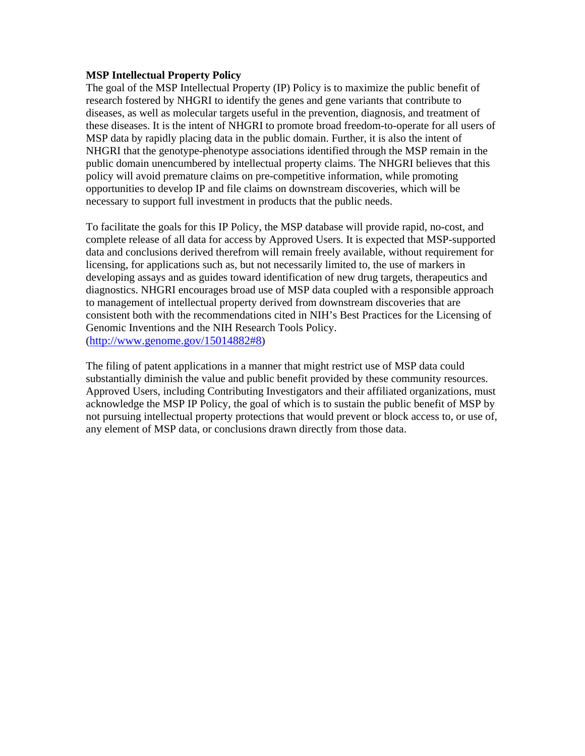## **MSP Intellectual Property Policy**

The goal of the MSP Intellectual Property (IP) Policy is to maximize the public benefit of research fostered by NHGRI to identify the genes and gene variants that contribute to diseases, as well as molecular targets useful in the prevention, diagnosis, and treatment of these diseases. It is the intent of NHGRI to promote broad freedom-to-operate for all users of MSP data by rapidly placing data in the public domain. Further, it is also the intent of NHGRI that the genotype-phenotype associations identified through the MSP remain in the public domain unencumbered by intellectual property claims. The NHGRI believes that this policy will avoid premature claims on pre-competitive information, while promoting opportunities to develop IP and file claims on downstream discoveries, which will be necessary to support full investment in products that the public needs.

To facilitate the goals for this IP Policy, the MSP database will provide rapid, no-cost, and complete release of all data for access by Approved Users. It is expected that MSP-supported data and conclusions derived therefrom will remain freely available, without requirement for licensing, for applications such as, but not necessarily limited to, the use of markers in developing assays and as guides toward identification of new drug targets, therapeutics and diagnostics. NHGRI encourages broad use of MSP data coupled with a responsible approach to management of intellectual property derived from downstream discoveries that are consistent both with the recommendations cited in NIH's Best Practices for the Licensing of Genomic Inventions and the NIH Research Tools Policy. ([http://www.genome.gov/15014882#8\)](http://www.genome.gov/15014882#8)

The filing of patent applications in a manner that might restrict use of MSP data could substantially diminish the value and public benefit provided by these community resources. Approved Users, including Contributing Investigators and their affiliated organizations, must acknowledge the MSP IP Policy, the goal of which is to sustain the public benefit of MSP by not pursuing intellectual property protections that would prevent or block access to, or use of, any element of MSP data, or conclusions drawn directly from those data.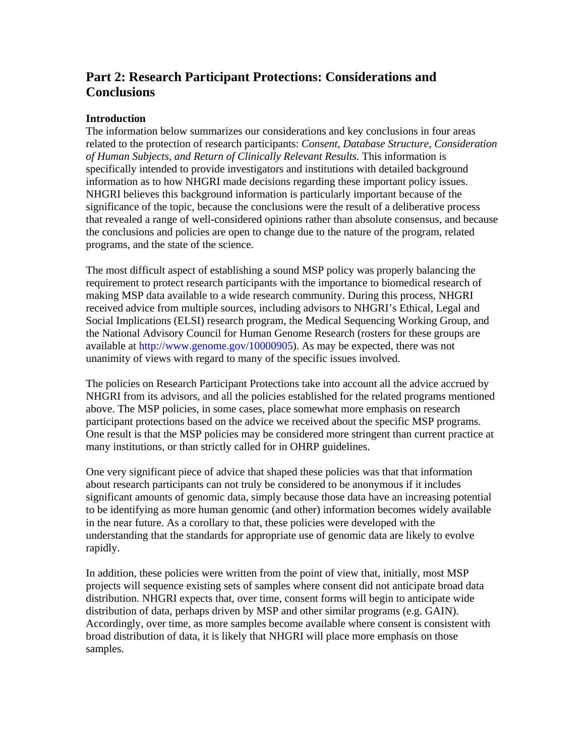# **Part 2: Research Participant Protections: Considerations and Conclusions**

# **Introduction**

The information below summarizes our considerations and key conclusions in four areas related to the protection of research participants: *Consent, Database Structure, Consideration of Human Subjects, and Return of Clinically Relevant Results.* This information is specifically intended to provide investigators and institutions with detailed background information as to how NHGRI made decisions regarding these important policy issues. NHGRI believes this background information is particularly important because of the significance of the topic, because the conclusions were the result of a deliberative process that revealed a range of well-considered opinions rather than absolute consensus, and because the conclusions and policies are open to change due to the nature of the program, related programs, and the state of the science.

The most difficult aspect of establishing a sound MSP policy was properly balancing the requirement to protect research participants with the importance to biomedical research of making MSP data available to a wide research community. During this process, NHGRI received advice from multiple sources, including advisors to NHGRI's Ethical, Legal and Social Implications (ELSI) research program, the Medical Sequencing Working Group, and the National Advisory Council for Human Genome Research (rosters for these groups are available at http://www.genome.gov/10000905). As may be expected, there was not unanimity of views with regard to many of the specific issues involved.

The policies on Research Participant Protections take into account all the advice accrued by NHGRI from its advisors, and all the policies established for the related programs mentioned above. The MSP policies, in some cases, place somewhat more emphasis on research participant protections based on the advice we received about the specific MSP programs. One result is that the MSP policies may be considered more stringent than current practice at many institutions, or than strictly called for in OHRP guidelines.

One very significant piece of advice that shaped these policies was that that information about research participants can not truly be considered to be anonymous if it includes significant amounts of genomic data, simply because those data have an increasing potential to be identifying as more human genomic (and other) information becomes widely available in the near future. As a corollary to that, these policies were developed with the understanding that the standards for appropriate use of genomic data are likely to evolve rapidly.

In addition, these policies were written from the point of view that, initially, most MSP projects will sequence existing sets of samples where consent did not anticipate broad data distribution. NHGRI expects that, over time, consent forms will begin to anticipate wide distribution of data, perhaps driven by MSP and other similar programs (e.g. GAIN). Accordingly, over time, as more samples become available where consent is consistent with broad distribution of data, it is likely that NHGRI will place more emphasis on those samples.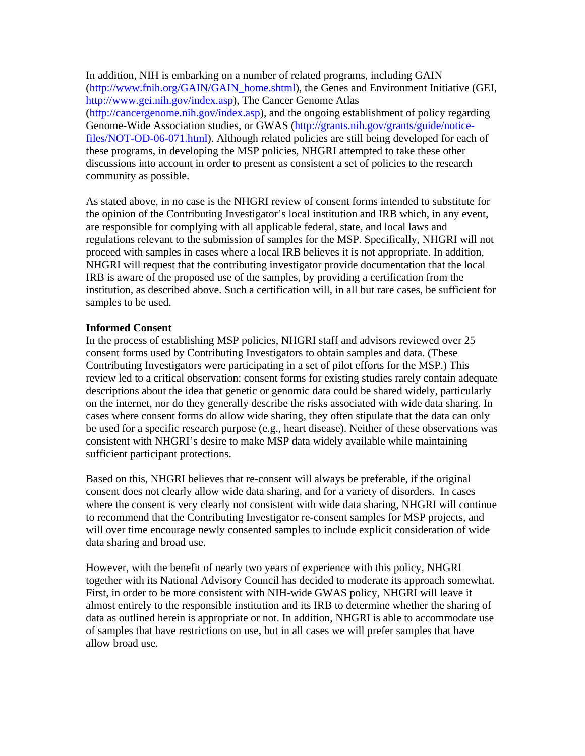In addition, NIH is embarking on a number of related programs, including GAIN (http://www.fnih.org/GAIN/GAIN\_home.shtml), the Genes and Environment Initiative (GEI, http://www.gei.nih.gov/index.asp), The Cancer Genome Atlas (http://cancergenome.nih.gov/index.asp), and the ongoing establishment of policy regarding Genome-Wide Association studies, or GWAS (http://grants.nih.gov/grants/guide/noticefiles/NOT-OD-06-071.html). Although related policies are still being developed for each of these programs, in developing the MSP policies, NHGRI attempted to take these other discussions into account in order to present as consistent a set of policies to the research community as possible.

As stated above, in no case is the NHGRI review of consent forms intended to substitute for the opinion of the Contributing Investigator's local institution and IRB which, in any event, are responsible for complying with all applicable federal, state, and local laws and regulations relevant to the submission of samples for the MSP. Specifically, NHGRI will not proceed with samples in cases where a local IRB believes it is not appropriate. In addition, NHGRI will request that the contributing investigator provide documentation that the local IRB is aware of the proposed use of the samples, by providing a certification from the institution, as described above. Such a certification will, in all but rare cases, be sufficient for samples to be used.

## **Informed Consent**

In the process of establishing MSP policies, NHGRI staff and advisors reviewed over 25 consent forms used by Contributing Investigators to obtain samples and data. (These Contributing Investigators were participating in a set of pilot efforts for the MSP.) This review led to a critical observation: consent forms for existing studies rarely contain adequate descriptions about the idea that genetic or genomic data could be shared widely, particularly on the internet, nor do they generally describe the risks associated with wide data sharing. In cases where consent forms do allow wide sharing, they often stipulate that the data can only be used for a specific research purpose (e.g., heart disease). Neither of these observations was consistent with NHGRI's desire to make MSP data widely available while maintaining sufficient participant protections.

Based on this, NHGRI believes that re-consent will always be preferable, if the original consent does not clearly allow wide data sharing, and for a variety of disorders. In cases where the consent is very clearly not consistent with wide data sharing, NHGRI will continue to recommend that the Contributing Investigator re-consent samples for MSP projects, and will over time encourage newly consented samples to include explicit consideration of wide data sharing and broad use.

However, with the benefit of nearly two years of experience with this policy, NHGRI together with its National Advisory Council has decided to moderate its approach somewhat. First, in order to be more consistent with NIH-wide GWAS policy, NHGRI will leave it almost entirely to the responsible institution and its IRB to determine whether the sharing of data as outlined herein is appropriate or not. In addition, NHGRI is able to accommodate use of samples that have restrictions on use, but in all cases we will prefer samples that have allow broad use.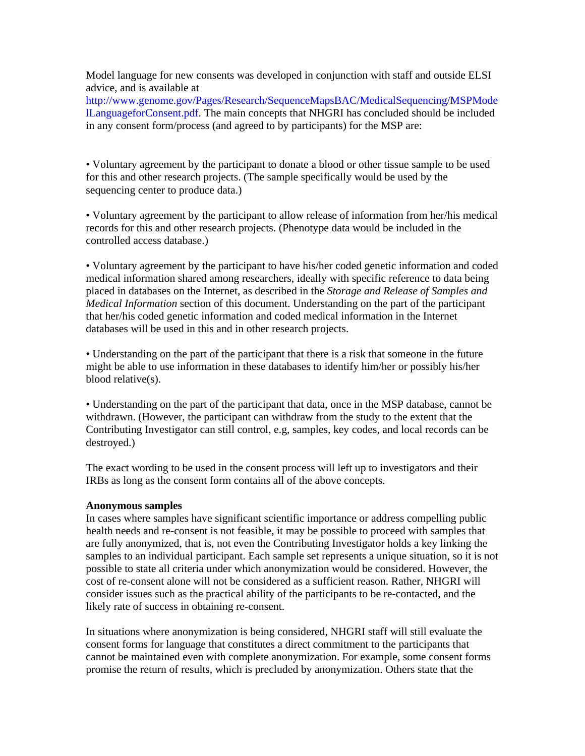Model language for new consents was developed in conjunction with staff and outside ELSI advice, and is available at

http://www.genome.gov/Pages/Research/SequenceMapsBAC/MedicalSequencing/MSPMode lLanguageforConsent.pdf. The main concepts that NHGRI has concluded should be included in any consent form/process (and agreed to by participants) for the MSP are:

• Voluntary agreement by the participant to donate a blood or other tissue sample to be used for this and other research projects. (The sample specifically would be used by the sequencing center to produce data.)

• Voluntary agreement by the participant to allow release of information from her/his medical records for this and other research projects. (Phenotype data would be included in the controlled access database.)

• Voluntary agreement by the participant to have his/her coded genetic information and coded medical information shared among researchers, ideally with specific reference to data being placed in databases on the Internet, as described in the *Storage and Release of Samples and Medical Information* section of this document. Understanding on the part of the participant that her/his coded genetic information and coded medical information in the Internet databases will be used in this and in other research projects.

• Understanding on the part of the participant that there is a risk that someone in the future might be able to use information in these databases to identify him/her or possibly his/her blood relative(s).

• Understanding on the part of the participant that data, once in the MSP database, cannot be withdrawn. (However, the participant can withdraw from the study to the extent that the Contributing Investigator can still control, e.g, samples, key codes, and local records can be destroyed.)

The exact wording to be used in the consent process will left up to investigators and their IRBs as long as the consent form contains all of the above concepts.

## **Anonymous samples**

In cases where samples have significant scientific importance or address compelling public health needs and re-consent is not feasible, it may be possible to proceed with samples that are fully anonymized, that is, not even the Contributing Investigator holds a key linking the samples to an individual participant. Each sample set represents a unique situation, so it is not possible to state all criteria under which anonymization would be considered. However, the cost of re-consent alone will not be considered as a sufficient reason. Rather, NHGRI will consider issues such as the practical ability of the participants to be re-contacted, and the likely rate of success in obtaining re-consent.

In situations where anonymization is being considered, NHGRI staff will still evaluate the consent forms for language that constitutes a direct commitment to the participants that cannot be maintained even with complete anonymization. For example, some consent forms promise the return of results, which is precluded by anonymization. Others state that the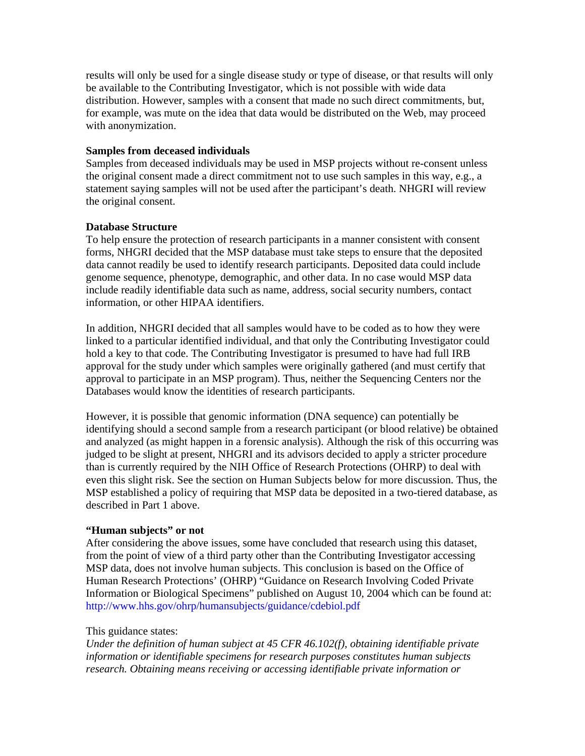results will only be used for a single disease study or type of disease, or that results will only be available to the Contributing Investigator, which is not possible with wide data distribution. However, samples with a consent that made no such direct commitments, but, for example, was mute on the idea that data would be distributed on the Web, may proceed with anonymization.

## **Samples from deceased individuals**

Samples from deceased individuals may be used in MSP projects without re-consent unless the original consent made a direct commitment not to use such samples in this way, e.g., a statement saying samples will not be used after the participant's death. NHGRI will review the original consent.

## **Database Structure**

To help ensure the protection of research participants in a manner consistent with consent forms, NHGRI decided that the MSP database must take steps to ensure that the deposited data cannot readily be used to identify research participants. Deposited data could include genome sequence, phenotype, demographic, and other data. In no case would MSP data include readily identifiable data such as name, address, social security numbers, contact information, or other HIPAA identifiers.

In addition, NHGRI decided that all samples would have to be coded as to how they were linked to a particular identified individual, and that only the Contributing Investigator could hold a key to that code. The Contributing Investigator is presumed to have had full IRB approval for the study under which samples were originally gathered (and must certify that approval to participate in an MSP program). Thus, neither the Sequencing Centers nor the Databases would know the identities of research participants.

However, it is possible that genomic information (DNA sequence) can potentially be identifying should a second sample from a research participant (or blood relative) be obtained and analyzed (as might happen in a forensic analysis). Although the risk of this occurring was judged to be slight at present, NHGRI and its advisors decided to apply a stricter procedure than is currently required by the NIH Office of Research Protections (OHRP) to deal with even this slight risk. See the section on Human Subjects below for more discussion. Thus, the MSP established a policy of requiring that MSP data be deposited in a two-tiered database, as described in Part 1 above.

# **"Human subjects" or not**

After considering the above issues, some have concluded that research using this dataset, from the point of view of a third party other than the Contributing Investigator accessing MSP data, does not involve human subjects. This conclusion is based on the Office of Human Research Protections' (OHRP) "Guidance on Research Involving Coded Private Information or Biological Specimens" published on August 10, 2004 which can be found at: http://www.hhs.gov/ohrp/humansubjects/guidance/cdebiol.pdf

# This guidance states:

*Under the definition of human subject at 45 CFR 46.102(f), obtaining identifiable private information or identifiable specimens for research purposes constitutes human subjects research. Obtaining means receiving or accessing identifiable private information or*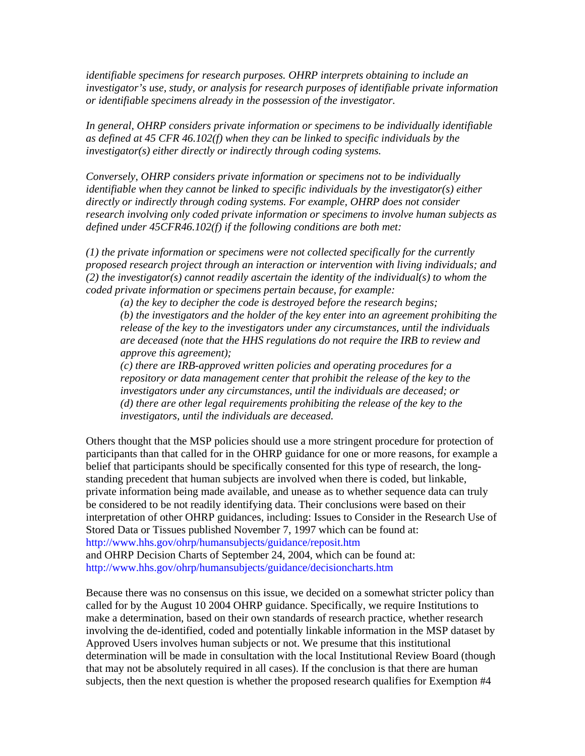*identifiable specimens for research purposes. OHRP interprets obtaining to include an investigator's use, study, or analysis for research purposes of identifiable private information or identifiable specimens already in the possession of the investigator.* 

*In general, OHRP considers private information or specimens to be individually identifiable as defined at 45 CFR 46.102(f) when they can be linked to specific individuals by the investigator(s) either directly or indirectly through coding systems.* 

*Conversely, OHRP considers private information or specimens not to be individually identifiable when they cannot be linked to specific individuals by the investigator(s) either directly or indirectly through coding systems. For example, OHRP does not consider research involving only coded private information or specimens to involve human subjects as defined under 45CFR46.102(f) if the following conditions are both met:* 

*(1) the private information or specimens were not collected specifically for the currently proposed research project through an interaction or intervention with living individuals; and (2) the investigator(s) cannot readily ascertain the identity of the individual(s) to whom the coded private information or specimens pertain because, for example:* 

*(a) the key to decipher the code is destroyed before the research begins; (b) the investigators and the holder of the key enter into an agreement prohibiting the release of the key to the investigators under any circumstances, until the individuals are deceased (note that the HHS regulations do not require the IRB to review and approve this agreement);* 

*(c) there are IRB-approved written policies and operating procedures for a repository or data management center that prohibit the release of the key to the investigators under any circumstances, until the individuals are deceased; or (d) there are other legal requirements prohibiting the release of the key to the investigators, until the individuals are deceased.* 

Others thought that the MSP policies should use a more stringent procedure for protection of participants than that called for in the OHRP guidance for one or more reasons, for example a belief that participants should be specifically consented for this type of research, the longstanding precedent that human subjects are involved when there is coded, but linkable, private information being made available, and unease as to whether sequence data can truly be considered to be not readily identifying data. Their conclusions were based on their interpretation of other OHRP guidances, including: Issues to Consider in the Research Use of Stored Data or Tissues published November 7, 1997 which can be found at: http://www.hhs.gov/ohrp/humansubjects/guidance/reposit.htm and OHRP Decision Charts of September 24, 2004, which can be found at: http://www.hhs.gov/ohrp/humansubjects/guidance/decisioncharts.htm

Because there was no consensus on this issue, we decided on a somewhat stricter policy than called for by the August 10 2004 OHRP guidance. Specifically, we require Institutions to make a determination, based on their own standards of research practice, whether research involving the de-identified, coded and potentially linkable information in the MSP dataset by Approved Users involves human subjects or not. We presume that this institutional determination will be made in consultation with the local Institutional Review Board (though that may not be absolutely required in all cases). If the conclusion is that there are human subjects, then the next question is whether the proposed research qualifies for Exemption #4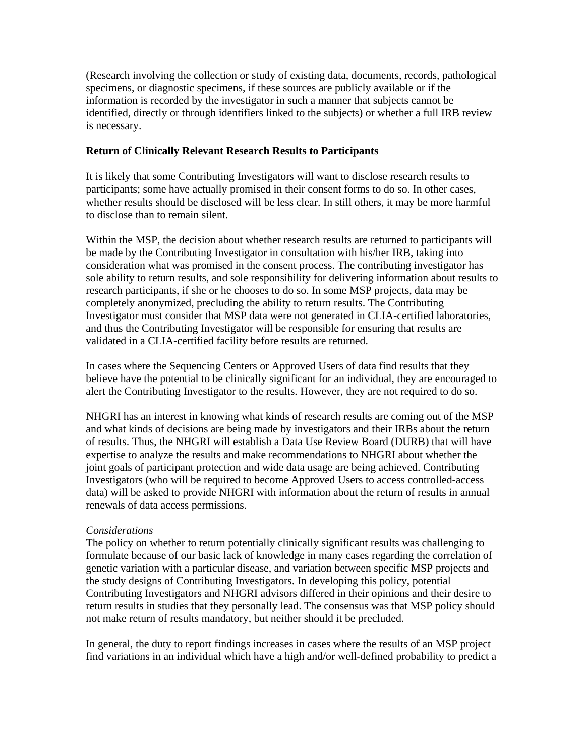(Research involving the collection or study of existing data, documents, records, pathological specimens, or diagnostic specimens, if these sources are publicly available or if the information is recorded by the investigator in such a manner that subjects cannot be identified, directly or through identifiers linked to the subjects) or whether a full IRB review is necessary.

## **Return of Clinically Relevant Research Results to Participants**

It is likely that some Contributing Investigators will want to disclose research results to participants; some have actually promised in their consent forms to do so. In other cases, whether results should be disclosed will be less clear. In still others, it may be more harmful to disclose than to remain silent.

Within the MSP, the decision about whether research results are returned to participants will be made by the Contributing Investigator in consultation with his/her IRB, taking into consideration what was promised in the consent process. The contributing investigator has sole ability to return results, and sole responsibility for delivering information about results to research participants, if she or he chooses to do so. In some MSP projects, data may be completely anonymized, precluding the ability to return results. The Contributing Investigator must consider that MSP data were not generated in CLIA-certified laboratories, and thus the Contributing Investigator will be responsible for ensuring that results are validated in a CLIA-certified facility before results are returned.

In cases where the Sequencing Centers or Approved Users of data find results that they believe have the potential to be clinically significant for an individual, they are encouraged to alert the Contributing Investigator to the results. However, they are not required to do so.

NHGRI has an interest in knowing what kinds of research results are coming out of the MSP and what kinds of decisions are being made by investigators and their IRBs about the return of results. Thus, the NHGRI will establish a Data Use Review Board (DURB) that will have expertise to analyze the results and make recommendations to NHGRI about whether the joint goals of participant protection and wide data usage are being achieved. Contributing Investigators (who will be required to become Approved Users to access controlled-access data) will be asked to provide NHGRI with information about the return of results in annual renewals of data access permissions.

# *Considerations*

The policy on whether to return potentially clinically significant results was challenging to formulate because of our basic lack of knowledge in many cases regarding the correlation of genetic variation with a particular disease, and variation between specific MSP projects and the study designs of Contributing Investigators. In developing this policy, potential Contributing Investigators and NHGRI advisors differed in their opinions and their desire to return results in studies that they personally lead. The consensus was that MSP policy should not make return of results mandatory, but neither should it be precluded.

In general, the duty to report findings increases in cases where the results of an MSP project find variations in an individual which have a high and/or well-defined probability to predict a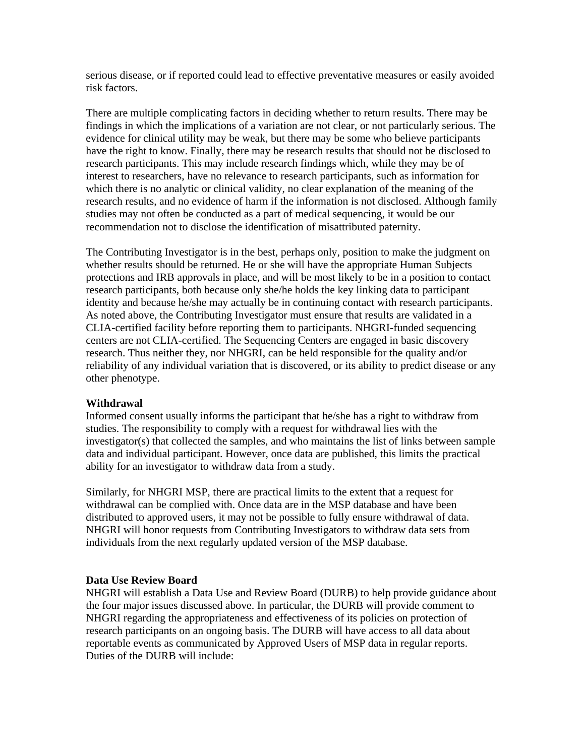serious disease, or if reported could lead to effective preventative measures or easily avoided risk factors.

There are multiple complicating factors in deciding whether to return results. There may be findings in which the implications of a variation are not clear, or not particularly serious. The evidence for clinical utility may be weak, but there may be some who believe participants have the right to know. Finally, there may be research results that should not be disclosed to research participants. This may include research findings which, while they may be of interest to researchers, have no relevance to research participants, such as information for which there is no analytic or clinical validity, no clear explanation of the meaning of the research results, and no evidence of harm if the information is not disclosed. Although family studies may not often be conducted as a part of medical sequencing, it would be our recommendation not to disclose the identification of misattributed paternity.

The Contributing Investigator is in the best, perhaps only, position to make the judgment on whether results should be returned. He or she will have the appropriate Human Subjects protections and IRB approvals in place, and will be most likely to be in a position to contact research participants, both because only she/he holds the key linking data to participant identity and because he/she may actually be in continuing contact with research participants. As noted above, the Contributing Investigator must ensure that results are validated in a CLIA-certified facility before reporting them to participants. NHGRI-funded sequencing centers are not CLIA-certified. The Sequencing Centers are engaged in basic discovery research. Thus neither they, nor NHGRI, can be held responsible for the quality and/or reliability of any individual variation that is discovered, or its ability to predict disease or any other phenotype.

## **Withdrawal**

Informed consent usually informs the participant that he/she has a right to withdraw from studies. The responsibility to comply with a request for withdrawal lies with the investigator(s) that collected the samples, and who maintains the list of links between sample data and individual participant. However, once data are published, this limits the practical ability for an investigator to withdraw data from a study.

Similarly, for NHGRI MSP, there are practical limits to the extent that a request for withdrawal can be complied with. Once data are in the MSP database and have been distributed to approved users, it may not be possible to fully ensure withdrawal of data. NHGRI will honor requests from Contributing Investigators to withdraw data sets from individuals from the next regularly updated version of the MSP database.

#### **Data Use Review Board**

NHGRI will establish a Data Use and Review Board (DURB) to help provide guidance about the four major issues discussed above. In particular, the DURB will provide comment to NHGRI regarding the appropriateness and effectiveness of its policies on protection of research participants on an ongoing basis. The DURB will have access to all data about reportable events as communicated by Approved Users of MSP data in regular reports. Duties of the DURB will include: